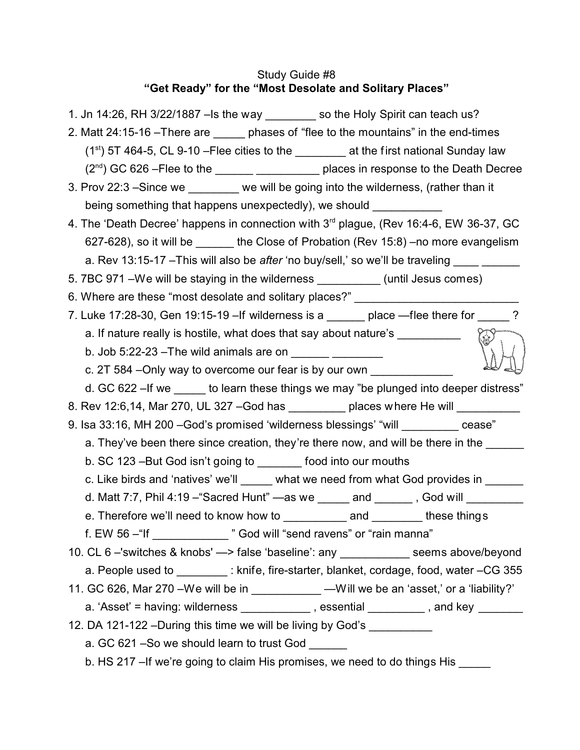# Study Guide #8 **"Get Ready" for the "Most Desolate and Solitary Places"**

| 1. Jn 14:26, RH 3/22/1887 - Is the way _________ so the Holy Spirit can teach us?                              |
|----------------------------------------------------------------------------------------------------------------|
| 2. Matt 24:15-16 - There are ______ phases of "flee to the mountains" in the end-times                         |
| $(1st)$ 5T 464-5, CL 9-10 – Flee cities to the __________ at the first national Sunday law                     |
|                                                                                                                |
| 3. Prov 22:3 -Since we _______ we will be going into the wilderness, (rather than it                           |
| being something that happens unexpectedly), we should                                                          |
| 4. The 'Death Decree' happens in connection with 3 <sup>rd</sup> plague, (Rev 16:4-6, EW 36-37, GC             |
| 627-628), so it will be _______ the Close of Probation (Rev 15:8) –no more evangelism                          |
| a. Rev 13:15-17 - This will also be after 'no buy/sell,' so we'll be traveling _______________________________ |
| 5. 7BC 971 - We will be staying in the wilderness ___________ (until Jesus comes)                              |
| 6. Where are these "most desolate and solitary places?" ________________________                               |
| 7. Luke 17:28-30, Gen 19:15-19 - If wilderness is a _______ place -flee there for _____                        |
| a. If nature really is hostile, what does that say about nature's _____________                                |
|                                                                                                                |
| c. 2T 584 – Only way to overcome our fear is by our own                                                        |
| d. GC 622 - If we set to learn these things we may "be plunged into deeper distress"                           |
| 8. Rev 12:6,14, Mar 270, UL 327 - God has _________ places where He will _______                               |
| 9. Isa 33:16, MH 200 - God's promised 'wilderness blessings' "will _________ cease"                            |
| a. They've been there since creation, they're there now, and will be there in the                              |
| b. SC 123 - But God isn't going to ________ food into our mouths                                               |
| c. Like birds and 'natives' we'll ______ what we need from what God provides in ______                         |
| d. Matt 7:7, Phil 4:19 - "Sacred Hunt" - as we ______ and ______, God will ________                            |
| e. Therefore we'll need to know how to ___________ and ________ these things                                   |
| f. EW 56 - "If _____________ " God will "send ravens" or "rain manna"                                          |
| 10. CL 6 -'switches & knobs' -> false 'baseline': any ___________ seems above/beyond                           |
| a. People used to _________: knife, fire-starter, blanket, cordage, food, water -CG 355                        |
| 11. GC 626, Mar 270 - We will be in ___________ - Will we be an 'asset,' or a 'liability?'                     |
| a. 'Asset' = having: wilderness ____________, essential _________, and key ______                              |
| 12. DA 121-122 - During this time we will be living by God's __________                                        |
| a. GC 621 - So we should learn to trust God                                                                    |
| b. HS 217 - If we're going to claim His promises, we need to do things His ____                                |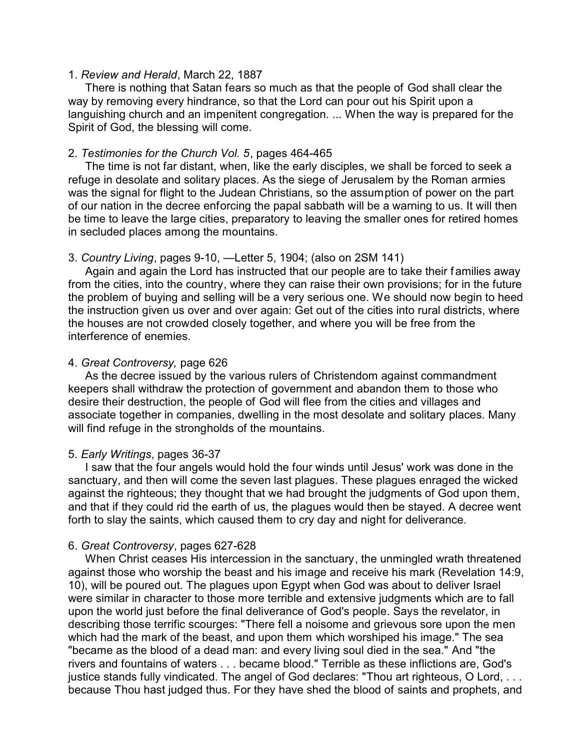#### 1. *Review and Herald*, March 22, 1887

There is nothing that Satan fears so much as that the people of God shall clear the way by removing every hindrance, so that the Lord can pour out his Spirit upon a languishing church and an impenitent congregation. ... When the way is prepared for the Spirit of God, the blessing will come.

# 2. *Testimonies for the Church Vol. 5*, pages 464-465

The time is not far distant, when, like the early disciples, we shall be forced to seek a refuge in desolate and solitary places. As the siege of Jerusalem by the Roman armies was the signal for flight to the Judean Christians, so the assumption of power on the part of our nation in the decree enforcing the papal sabbath will be a warning to us. It will then be time to leave the large cities, preparatory to leaving the smaller ones for retired homes in secluded places among the mountains.

# 3. *Country Living*, pages 9-10, —Letter 5, 1904; (also on 2SM 141)

Again and again the Lord has instructed that our people are to take their f amilies away from the cities, into the country, where they can raise their own provisions; for in the future the problem of buying and selling will be a very serious one. We should now begin to heed the instruction given us over and over again: Get out of the cities into rural districts, where the houses are not crowded closely together, and where you will be free from the interference of enemies.

# 4. *Great Controversy,* page 626

As the decree issued by the various rulers of Christendom against commandment keepers shall withdraw the protection of government and abandon them to those who desire their destruction, the people of God will flee from the cities and villages and associate together in companies, dwelling in the most desolate and solitary places. Many will find refuge in the strongholds of the mountains.

# 5. *Early Writings*, pages 36-37

I saw that the four angels would hold the four winds until Jesus' work was done in the sanctuary, and then will come the seven last plagues. These plagues enraged the wicked against the righteous; they thought that we had brought the judgments of God upon them, and that if they could rid the earth of us, the plagues would then be stayed. A decree went forth to slay the saints, which caused them to cry day and night for deliverance.

# 6. *Great Controversy*, pages 627-628

When Christ ceases His intercession in the sanctuary, the unmingled wrath threatened against those who worship the beast and his image and receive his mark (Revelation 14:9, 10), will be poured out. The plagues upon Egypt when God was about to deliver Israel were similar in character to those more terrible and extensive judgments which are to fall upon the world just before the final deliverance of God's people. Says the revelator, in describing those terrific scourges: "There fell a noisome and grievous sore upon the men which had the mark of the beast, and upon them which worshiped his image." The sea "became as the blood of a dead man: and every living soul died in the sea." And "the rivers and fountains of waters . . . became blood." Terrible as these inflictions are, God's justice stands fully vindicated. The angel of God declares: "Thou art righteous, O Lord, ... because Thou hast judged thus. For they have shed the blood of saints and prophets, and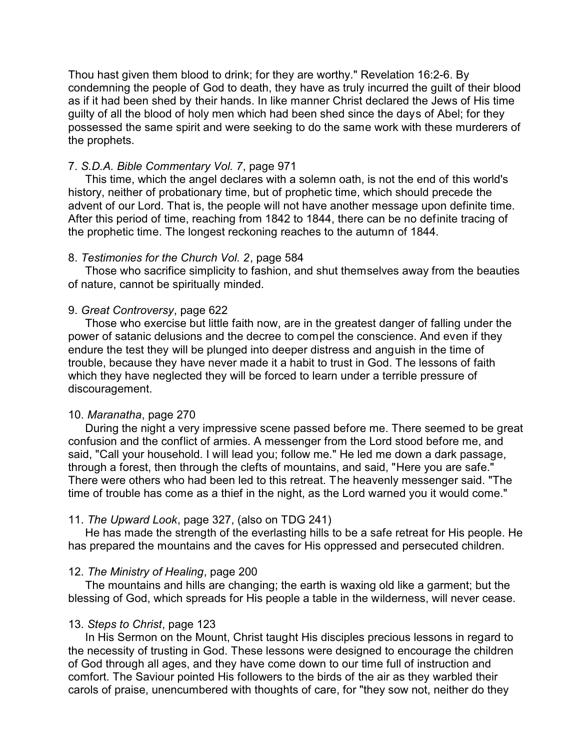Thou hast given them blood to drink; for they are worthy." Revelation 16:2-6. By condemning the people of God to death, they have as truly incurred the guilt of their blood as if it had been shed by their hands. In like manner Christ declared the Jews of His time guilty of all the blood of holy men which had been shed since the days of Abel; for they possessed the same spirit and were seeking to do the same work with these murderers of the prophets.

### 7. *S.D.A. Bible Commentary Vol. 7*, page 971

This time, which the angel declares with a solemn oath, is not the end of this world's history, neither of probationary time, but of prophetic time, which should precede the advent of our Lord. That is, the people will not have another message upon definite time. After this period of time, reaching from 1842 to 1844, there can be no definite tracing of the prophetic time. The longest reckoning reaches to the autumn of 1844.

#### 8. *Testimonies for the Church Vol. 2*, page 584

Those who sacrifice simplicity to fashion, and shut themselves away from the beauties of nature, cannot be spiritually minded.

#### 9. *Great Controversy*, page 622

Those who exercise but little faith now, are in the greatest danger of falling under the power of satanic delusions and the decree to compel the conscience. And even if they endure the test they will be plunged into deeper distress and anguish in the time of trouble, because they have never made it a habit to trust in God. The lessons of faith which they have neglected they will be forced to learn under a terrible pressure of discouragement.

#### 10. *Maranatha*, page 270

During the night a very impressive scene passed before me. There seemed to be great confusion and the conflict of armies. A messenger from the Lord stood before me, and said, "Call your household. I will lead you; follow me." He led me down a dark passage, through a forest, then through the clefts of mountains, and said, "Here you are safe." There were others who had been led to this retreat. The heavenly messenger said. "The time of trouble has come as a thief in the night, as the Lord warned you it would come."

#### 11. *The Upward Look*, page 327, (also on TDG 241)

He has made the strength of the everlasting hills to be a safe retreat for His people. He has prepared the mountains and the caves for His oppressed and persecuted children.

#### 12. *The Ministry of Healing*, page 200

The mountains and hills are changing; the earth is waxing old like a garment; but the blessing of God, which spreads for His people a table in the wilderness, will never cease.

#### 13. *Steps to Christ*, page 123

In His Sermon on the Mount, Christ taught His disciples precious lessons in regard to the necessity of trusting in God. These lessons were designed to encourage the children of God through all ages, and they have come down to our time full of instruction and comfort. The Saviour pointed His followers to the birds of the air as they warbled their carols of praise, unencumbered with thoughts of care, for "they sow not, neither do they